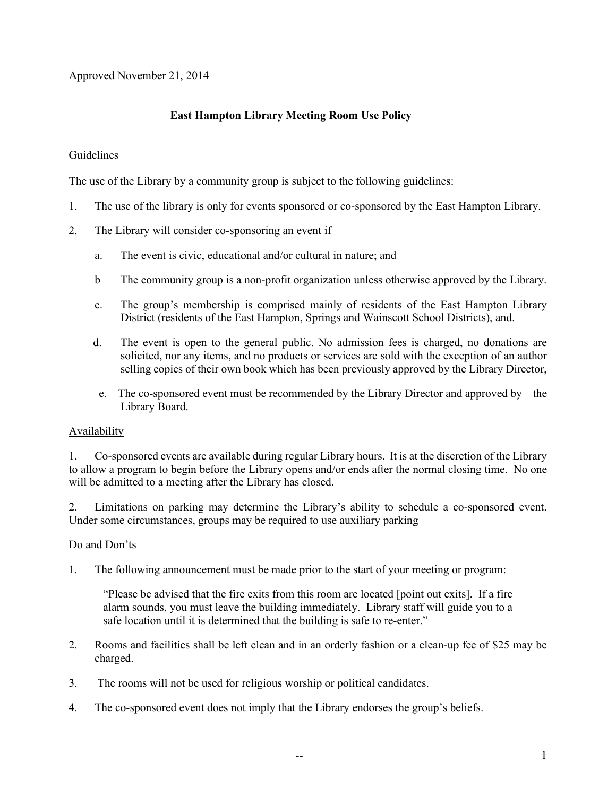Approved November 21, 2014

# **East Hampton Library Meeting Room Use Policy**

## Guidelines

The use of the Library by a community group is subject to the following guidelines:

- 1. The use of the library is only for events sponsored or co-sponsored by the East Hampton Library.
- 2. The Library will consider co-sponsoring an event if
	- a. The event is civic, educational and/or cultural in nature; and
	- b The community group is a non-profit organization unless otherwise approved by the Library.
	- c. The group's membership is comprised mainly of residents of the East Hampton Library District (residents of the East Hampton, Springs and Wainscott School Districts), and.
	- d. The event is open to the general public. No admission fees is charged, no donations are solicited, nor any items, and no products or services are sold with the exception of an author selling copies of their own book which has been previously approved by the Library Director,
	- e. The co-sponsored event must be recommended by the Library Director and approved by the Library Board.

### Availability

1. Co-sponsored events are available during regular Library hours. It is at the discretion of the Library to allow a program to begin before the Library opens and/or ends after the normal closing time. No one will be admitted to a meeting after the Library has closed.

2. Limitations on parking may determine the Library's ability to schedule a co-sponsored event. Under some circumstances, groups may be required to use auxiliary parking

### Do and Don'ts

1. The following announcement must be made prior to the start of your meeting or program:

"Please be advised that the fire exits from this room are located [point out exits]. If a fire alarm sounds, you must leave the building immediately. Library staff will guide you to a safe location until it is determined that the building is safe to re-enter."

- 2. Rooms and facilities shall be left clean and in an orderly fashion or a clean-up fee of \$25 may be charged.
- 3. The rooms will not be used for religious worship or political candidates.
- 4. The co-sponsored event does not imply that the Library endorses the group's beliefs.